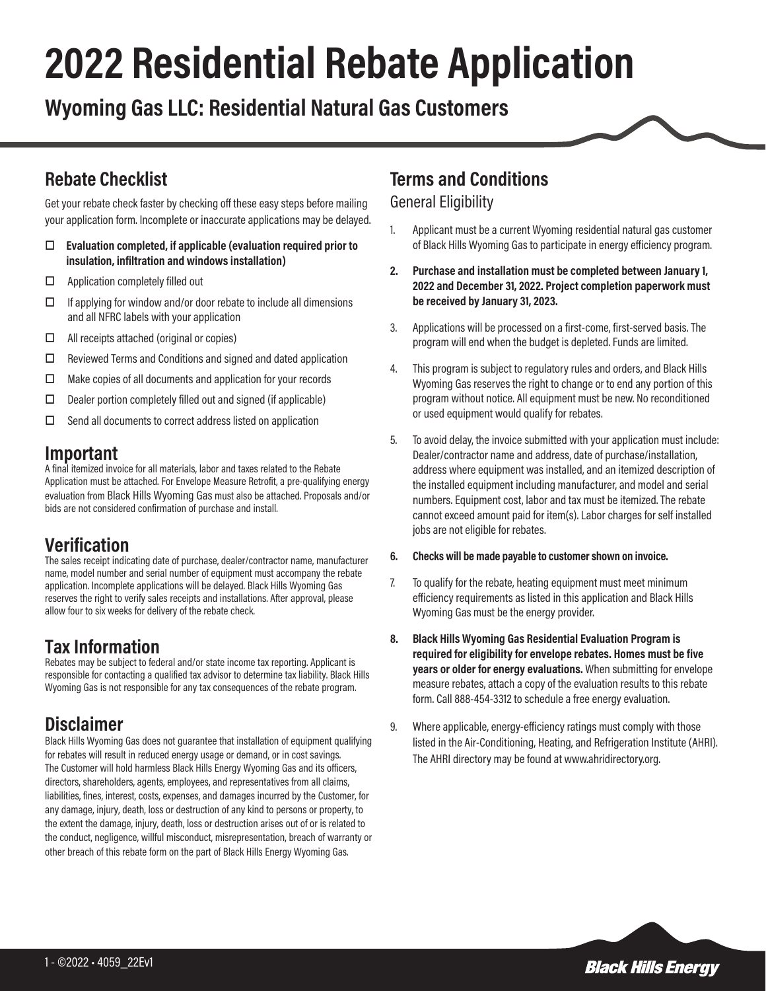# **2022 Residential Rebate Application**

**Wyoming Gas LLC: Residential Natural Gas Customers**

### **Rebate Checklist**

Get your rebate check faster by checking off these easy steps before mailing your application form. Incomplete or inaccurate applications may be delayed.

- o **Evaluation completed, if applicable (evaluation required prior to insulation, infiltration and windows installation)**
- $\Box$  Application completely filled out
- $\square$  If applying for window and/or door rebate to include all dimensions and all NFRC labels with your application
- $\Box$  All receipts attached (original or copies)
- $\Box$  Reviewed Terms and Conditions and signed and dated application
- $\Box$  Make copies of all documents and application for your records
- $\Box$  Dealer portion completely filled out and signed (if applicable)
- $\square$  Send all documents to correct address listed on application

#### **Important**

A final itemized invoice for all materials, labor and taxes related to the Rebate Application must be attached. For Envelope Measure Retrofit, a pre-qualifying energy evaluation from Black Hills Wyoming Gas must also be attached. Proposals and/or bids are not considered confirmation of purchase and install.

#### **Verification**

The sales receipt indicating date of purchase, dealer/contractor name, manufacturer name, model number and serial number of equipment must accompany the rebate application. Incomplete applications will be delayed. Black Hills Wyoming Gas reserves the right to verify sales receipts and installations. After approval, please allow four to six weeks for delivery of the rebate check.

#### **Tax Information**

Rebates may be subject to federal and/or state income tax reporting. Applicant is responsible for contacting a qualified tax advisor to determine tax liability. Black Hills Wyoming Gas is not responsible for any tax consequences of the rebate program.

## **Disclaimer**

Black Hills Wyoming Gas does not guarantee that installation of equipment qualifying for rebates will result in reduced energy usage or demand, or in cost savings. The Customer will hold harmless Black Hills Energy Wyoming Gas and its officers, directors, shareholders, agents, employees, and representatives from all claims, liabilities, fines, interest, costs, expenses, and damages incurred by the Customer, for any damage, injury, death, loss or destruction of any kind to persons or property, to the extent the damage, injury, death, loss or destruction arises out of or is related to the conduct, negligence, willful misconduct, misrepresentation, breach of warranty or other breach of this rebate form on the part of Black Hills Energy Wyoming Gas.

#### **Terms and Conditions**

#### General Eligibility

- 1. Applicant must be a current Wyoming residential natural gas customer of Black Hills Wyoming Gas to participate in energy efficiency program.
- **2. Purchase and installation must be completed between January 1, 2022 and December 31, 2022. Project completion paperwork must be received by January 31, 2023.**
- 3. Applications will be processed on a first-come, first-served basis. The program will end when the budget is depleted. Funds are limited.
- 4. This program is subject to regulatory rules and orders, and Black Hills Wyoming Gas reserves the right to change or to end any portion of this program without notice. All equipment must be new. No reconditioned or used equipment would qualify for rebates.
- 5. To avoid delay, the invoice submitted with your application must include: Dealer/contractor name and address, date of purchase/installation, address where equipment was installed, and an itemized description of the installed equipment including manufacturer, and model and serial numbers. Equipment cost, labor and tax must be itemized. The rebate cannot exceed amount paid for item(s). Labor charges for self installed jobs are not eligible for rebates.

#### **6. Checks will be made payable to customer shown on invoice.**

- 7. To qualify for the rebate, heating equipment must meet minimum efficiency requirements as listed in this application and Black Hills Wyoming Gas must be the energy provider.
- **8. Black Hills Wyoming Gas Residential Evaluation Program is required for eligibility for envelope rebates. Homes must be five years or older for energy evaluations.** When submitting for envelope measure rebates, attach a copy of the evaluation results to this rebate form. Call 888-454-3312 to schedule a free energy evaluation.
- 9. Where applicable, energy-efficiency ratings must comply with those listed in the Air-Conditioning, Heating, and Refrigeration Institute (AHRI). The AHRI directory may be found at www.ahridirectory.org.

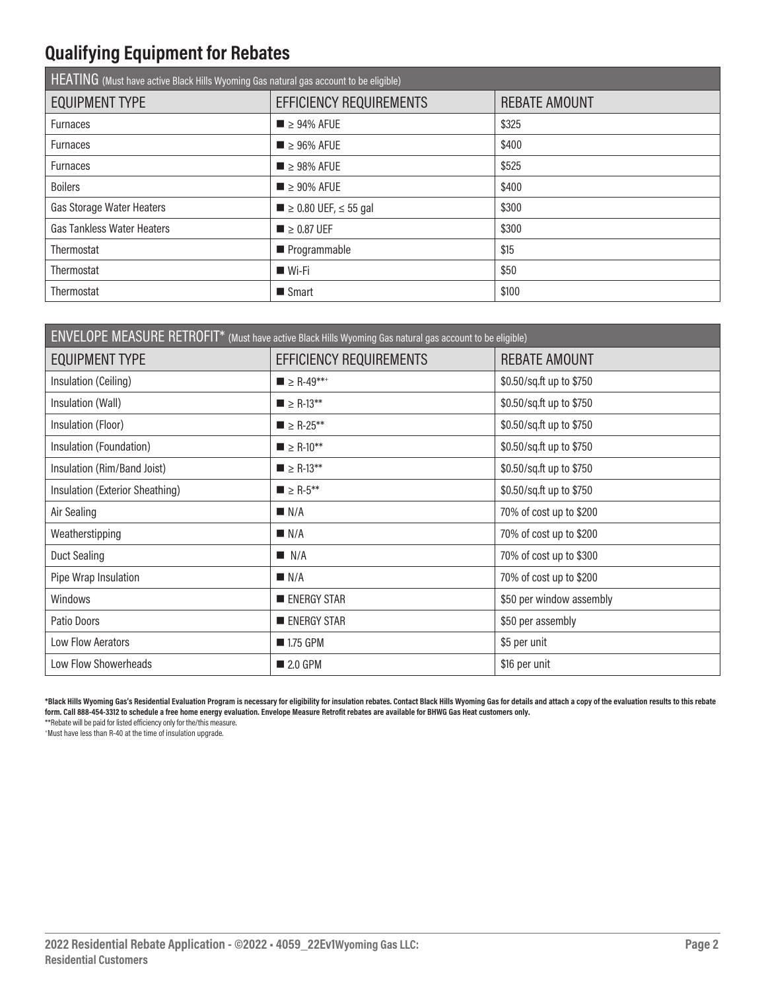# **Qualifying Equipment for Rebates**

| HEATING (Must have active Black Hills Wyoming Gas natural gas account to be eligible) |                                          |                      |  |  |
|---------------------------------------------------------------------------------------|------------------------------------------|----------------------|--|--|
| <b>EQUIPMENT TYPE</b>                                                                 | EFFICIENCY REQUIREMENTS                  | <b>REBATE AMOUNT</b> |  |  |
| <b>Furnaces</b>                                                                       | $\blacksquare$ > 94% AFUE                | \$325                |  |  |
| <b>Furnaces</b>                                                                       | $\blacksquare$ > 96% AFUE                | \$400                |  |  |
| <b>Furnaces</b>                                                                       | $\blacksquare$ > 98% AFUE                | \$525                |  |  |
| <b>Boilers</b>                                                                        | $\blacksquare$ > 90% AFUE                | \$400                |  |  |
| Gas Storage Water Heaters                                                             | $\blacksquare$ > 0.80 UEF, $\leq$ 55 gal | \$300                |  |  |
| <b>Gas Tankless Water Heaters</b>                                                     | $\blacksquare$ > 0.87 UEF                | \$300                |  |  |
| Thermostat                                                                            | Programmable                             | \$15                 |  |  |
| Thermostat                                                                            | $W$ i-Fi                                 | \$50                 |  |  |
| Thermostat                                                                            | $\blacksquare$ Smart                     | \$100                |  |  |

| ENVELOPE MEASURE RETROFIT* (Must have active Black Hills Wyoming Gas natural gas account to be eligible) |                                         |                          |  |  |
|----------------------------------------------------------------------------------------------------------|-----------------------------------------|--------------------------|--|--|
| <b>EQUIPMENT TYPE</b>                                                                                    | EFFICIENCY REQUIREMENTS                 | <b>REBATE AMOUNT</b>     |  |  |
| Insulation (Ceiling)                                                                                     | $\blacksquare$ > R-49**+                | \$0.50/sq.ft up to \$750 |  |  |
| Insulation (Wall)                                                                                        | $\blacksquare$ $\geq$ R-13**            | \$0.50/sq.ft up to \$750 |  |  |
| Insulation (Floor)                                                                                       | $\blacksquare$ $\geq$ R-25**            | \$0.50/sq.ft up to \$750 |  |  |
| Insulation (Foundation)                                                                                  | $\blacksquare$ $\geq$ R-10**            | \$0.50/sq.ft up to \$750 |  |  |
| Insulation (Rim/Band Joist)                                                                              | $\blacksquare$ $\geq$ R-13**            | \$0.50/sq.ft up to \$750 |  |  |
| Insulation (Exterior Sheathing)                                                                          | $\blacksquare$ $\geq$ R-5 <sup>**</sup> | \$0.50/sq.ft up to \$750 |  |  |
| Air Sealing                                                                                              | N/A                                     | 70% of cost up to \$200  |  |  |
| Weatherstipping                                                                                          | N/A                                     | 70% of cost up to \$200  |  |  |
| Duct Sealing                                                                                             | N/A                                     | 70% of cost up to \$300  |  |  |
| Pipe Wrap Insulation                                                                                     | N/A                                     | 70% of cost up to \$200  |  |  |
| Windows                                                                                                  | <b>ENERGY STAR</b>                      | \$50 per window assembly |  |  |
| Patio Doors                                                                                              | <b>ENERGY STAR</b>                      | \$50 per assembly        |  |  |
| Low Flow Aerators                                                                                        | ■ 1.75 GPM                              | \$5 per unit             |  |  |
| Low Flow Showerheads                                                                                     | 2.0 GPM                                 | \$16 per unit            |  |  |

**\*Black Hills Wyoming Gas's Residential Evaluation Program is necessary for eligibility for insulation rebates. Contact Black Hills Wyoming Gas for details and attach a copy of the evaluation results to this rebate form. Call 888-454-3312 to schedule a free home energy evaluation. Envelope Measure Retrofit rebates are available for BHWG Gas Heat customers only.**

\*\*Rebate will be paid for listed efficiency only for the/this measure.

+ Must have less than R-40 at the time of insulation upgrade.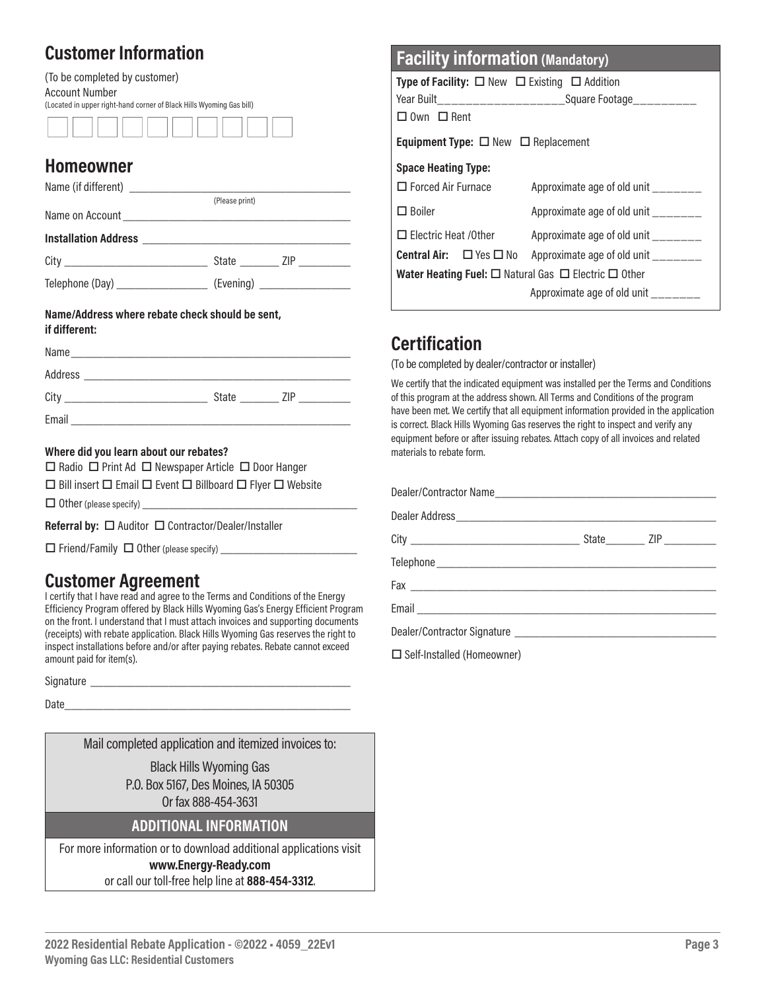## **Customer Information**

(To be completed by customer) Account Number (Located in upper right-hand corner of Black Hills Wyoming Gas bill)

#### **Homeowner**

|                                    | (Please print)       |
|------------------------------------|----------------------|
|                                    |                      |
|                                    |                      |
|                                    | State ZIP __________ |
| Telephone (Day) __________________ | (Evening)            |

#### **Name/Address where rebate check should be sent, if different:**

| Name    |       |     |
|---------|-------|-----|
| Address |       |     |
| City    | State | 7IP |
| Email   |       |     |

#### **Where did you learn about our rebates?**

 $\Box$  Radio  $\Box$  Print Ad  $\Box$  Newspaper Article  $\Box$  Door Hanger

 $\Box$  Bill insert  $\Box$  Email  $\Box$  Event  $\Box$  Billboard  $\Box$  Flyer  $\Box$  Website

 $\Box$  Other (please specify)

**Referral by:** □ Auditor □ Contractor/Dealer/Installer

 $\square$  Friend/Family  $\square$  Other (please specify)  $\square$ 

#### **Customer Agreement**

I certify that I have read and agree to the Terms and Conditions of the Energy Efficiency Program offered by Black Hills Wyoming Gas's Energy Efficient Program on the front. I understand that I must attach invoices and supporting documents (receipts) with rebate application. Black Hills Wyoming Gas reserves the right to inspect installations before and/or after paying rebates. Rebate cannot exceed amount paid for item(s).

Signature \_\_\_\_\_\_\_\_\_\_\_\_\_\_\_\_\_\_\_\_\_\_\_\_\_\_\_\_\_\_\_\_\_\_\_\_\_\_\_\_

Date

Mail completed application and itemized invoices to:

Black Hills Wyoming Gas P.O. Box 5167, Des Moines, IA 50305 Or fax 888-454-3631

#### **ADDITIONAL INFORMATION**

For more information or to download additional applications visit

#### **www.Energy-Ready.com**

or call our toll-free help line at **888-454-3312**.

| <b>Facility information (Mandatory)</b>                                    |                                                                              |  |  |
|----------------------------------------------------------------------------|------------------------------------------------------------------------------|--|--|
| <b>Type of Facility:</b> $\Box$ New $\Box$ Existing $\Box$ Addition        |                                                                              |  |  |
|                                                                            | Year Built_______________________Square Footage__________                    |  |  |
| $\Box$ Own $\Box$ Rent                                                     |                                                                              |  |  |
| <b>Equipment Type:</b> $\Box$ New $\Box$ Replacement                       |                                                                              |  |  |
| <b>Space Heating Type:</b>                                                 |                                                                              |  |  |
| $\Box$ Forced Air Furnace                                                  | Approximate age of old unit _______                                          |  |  |
| $\Box$ Boiler                                                              | Approximate age of old unit                                                  |  |  |
| $\Box$ Electric Heat /0ther                                                | Approximate age of old unit _______                                          |  |  |
|                                                                            | <b>Central Air:</b> $\Box$ Yes $\Box$ No Approximate age of old unit _______ |  |  |
| <b>Water Heating Fuel:</b> $\Box$ Natural Gas $\Box$ Electric $\Box$ Other |                                                                              |  |  |
|                                                                            | Approximate age of old unit ______                                           |  |  |

# **Certification**

(To be completed by dealer/contractor or installer)

We certify that the indicated equipment was installed per the Terms and Conditions of this program at the address shown. All Terms and Conditions of the program have been met. We certify that all equipment information provided in the application is correct. Black Hills Wyoming Gas reserves the right to inspect and verify any equipment before or after issuing rebates. Attach copy of all invoices and related materials to rebate form.

| $\Box$ Calf Installed (Hamannuman) |  |  |
|------------------------------------|--|--|

 $\Box$  Self-Installed (Homeowner)